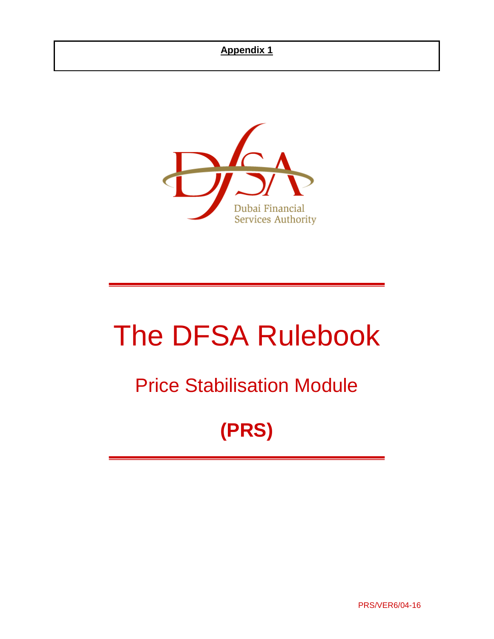

# The DFSA Rulebook

## Price Stabilisation Module

## **(PRS)**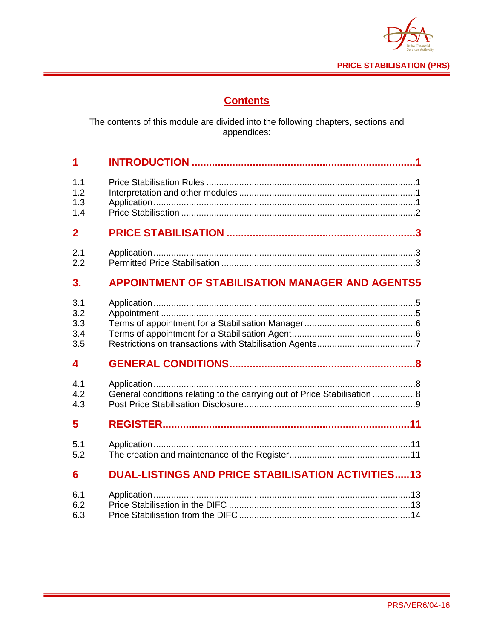

## **Contents**

The contents of this module are divided into the following chapters, sections and appendices:

| 1                       |                                                                           |
|-------------------------|---------------------------------------------------------------------------|
| 1.1                     |                                                                           |
| 1.2                     |                                                                           |
| 1.3                     |                                                                           |
| 1.4                     |                                                                           |
| $\overline{2}$          |                                                                           |
| 2.1                     |                                                                           |
| 2.2                     |                                                                           |
| 3.                      | <b>APPOINTMENT OF STABILISATION MANAGER AND AGENTS5</b>                   |
| 3.1                     |                                                                           |
| 3.2                     |                                                                           |
| 3.3                     |                                                                           |
| 3.4                     |                                                                           |
| 3.5                     |                                                                           |
| $\overline{\mathbf{4}}$ |                                                                           |
| 4.1                     |                                                                           |
| 4.2                     | General conditions relating to the carrying out of Price Stabilisation  8 |
| 4.3                     |                                                                           |
| 5                       |                                                                           |
| 5.1                     |                                                                           |
| 5.2                     |                                                                           |
| 6                       | <b>DUAL-LISTINGS AND PRICE STABILISATION ACTIVITIES13</b>                 |
| 6.1                     |                                                                           |
| 6.2                     |                                                                           |
| 6.3                     |                                                                           |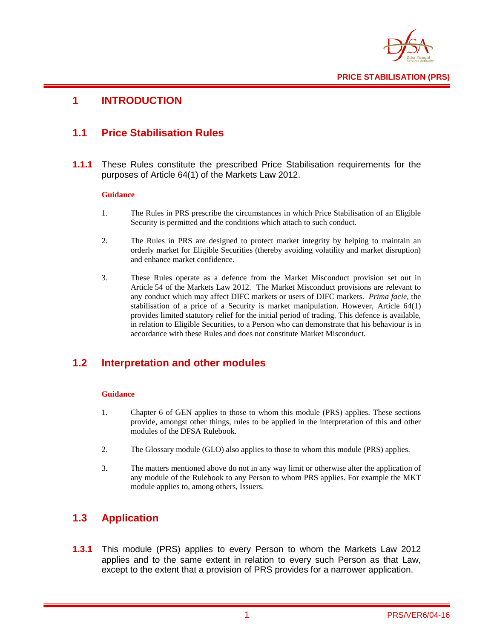

## <span id="page-2-0"></span>**1 INTRODUCTION**

## <span id="page-2-1"></span>**1.1 Price Stabilisation Rules**

**1.1.1** These Rules constitute the prescribed Price Stabilisation requirements for the purposes of Article 64(1) of the Markets Law 2012.

#### **Guidance**

- 1. The Rules in PRS prescribe the circumstances in which Price Stabilisation of an Eligible Security is permitted and the conditions which attach to such conduct.
- 2. The Rules in PRS are designed to protect market integrity by helping to maintain an orderly market for Eligible Securities (thereby avoiding volatility and market disruption) and enhance market confidence.
- 3. These Rules operate as a defence from the Market Misconduct provision set out in Article 54 of the Markets Law 2012. The Market Misconduct provisions are relevant to any conduct which may affect DIFC markets or users of DIFC markets. *Prima facie*, the stabilisation of a price of a Security is market manipulation. However, Article 64(1) provides limited statutory relief for the initial period of trading. This defence is available, in relation to Eligible Securities, to a Person who can demonstrate that his behaviour is in accordance with these Rules and does not constitute Market Misconduct.

## <span id="page-2-2"></span>**1.2 Interpretation and other modules**

#### **Guidance**

- 1. Chapter 6 of GEN applies to those to whom this module (PRS) applies. These sections provide, amongst other things, rules to be applied in the interpretation of this and other modules of the DFSA Rulebook.
- 2. The Glossary module (GLO) also applies to those to whom this module (PRS) applies.
- 3. The matters mentioned above do not in any way limit or otherwise alter the application of any module of the Rulebook to any Person to whom PRS applies. For example the MKT module applies to, among others, Issuers.

## <span id="page-2-3"></span>**1.3 Application**

**1.3.1** This module (PRS) applies to every Person to whom the Markets Law 2012 applies and to the same extent in relation to every such Person as that Law, except to the extent that a provision of PRS provides for a narrower application.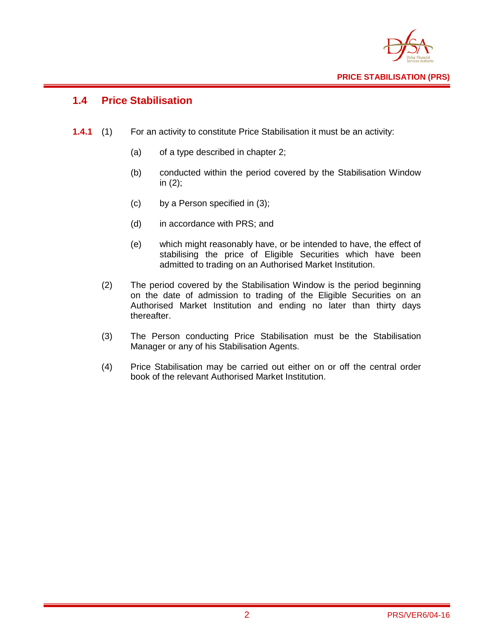

## <span id="page-3-0"></span>**1.4 Price Stabilisation**

- **1.4.1** (1) For an activity to constitute Price Stabilisation it must be an activity:
	- (a) of a type described in chapter 2;
	- (b) conducted within the period covered by the Stabilisation Window in (2);
	- (c) by a Person specified in (3);
	- (d) in accordance with PRS; and
	- (e) which might reasonably have, or be intended to have, the effect of stabilising the price of Eligible Securities which have been admitted to trading on an Authorised Market Institution.
	- (2) The period covered by the Stabilisation Window is the period beginning on the date of admission to trading of the Eligible Securities on an Authorised Market Institution and ending no later than thirty days thereafter.
	- (3) The Person conducting Price Stabilisation must be the Stabilisation Manager or any of his Stabilisation Agents.
	- (4) Price Stabilisation may be carried out either on or off the central order book of the relevant Authorised Market Institution.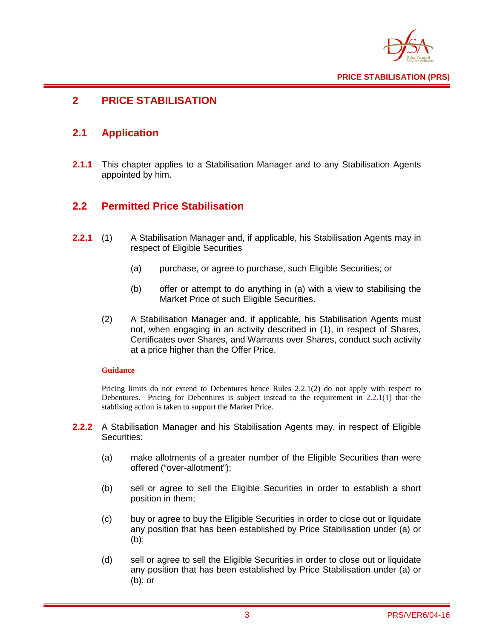

## <span id="page-4-0"></span>**2 PRICE STABILISATION**

## <span id="page-4-1"></span>**2.1 Application**

**2.1.1** This chapter applies to a Stabilisation Manager and to any Stabilisation Agents appointed by him.

## <span id="page-4-2"></span>**2.2 Permitted Price Stabilisation**

- **2.2.1** (1) A Stabilisation Manager and, if applicable, his Stabilisation Agents may in respect of Eligible Securities
	- (a) purchase, or agree to purchase, such Eligible Securities; or
	- (b) offer or attempt to do anything in (a) with a view to stabilising the Market Price of such Eligible Securities.
	- (2) A Stabilisation Manager and, if applicable, his Stabilisation Agents must not, when engaging in an activity described in (1), in respect of Shares, Certificates over Shares, and Warrants over Shares, conduct such activity at a price higher than the Offer Price.

#### **Guidance**

Pricing limits do not extend to Debentures hence Rules 2.2.1(2) do not apply with respect to Debentures. Pricing for Debentures is subject instead to the requirement in 2.2.1(1) that the stablising action is taken to support the Market Price.

- **2.2.2** A Stabilisation Manager and his Stabilisation Agents may, in respect of Eligible Securities:
	- (a) make allotments of a greater number of the Eligible Securities than were offered ("over-allotment");
	- (b) sell or agree to sell the Eligible Securities in order to establish a short position in them;
	- (c) buy or agree to buy the Eligible Securities in order to close out or liquidate any position that has been established by Price Stabilisation under (a) or (b);
	- (d) sell or agree to sell the Eligible Securities in order to close out or liquidate any position that has been established by Price Stabilisation under (a) or (b); or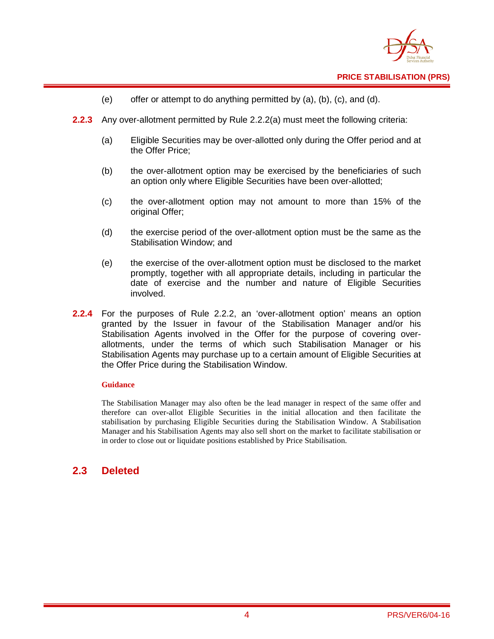

- (e) offer or attempt to do anything permitted by  $(a)$ ,  $(b)$ ,  $(c)$ , and  $(d)$ .
- **2.2.3** Any over-allotment permitted by Rule 2.2.2(a) must meet the following criteria:
	- (a) Eligible Securities may be over-allotted only during the Offer period and at the Offer Price;
	- (b) the over-allotment option may be exercised by the beneficiaries of such an option only where Eligible Securities have been over-allotted;
	- (c) the over-allotment option may not amount to more than 15% of the original Offer;
	- (d) the exercise period of the over-allotment option must be the same as the Stabilisation Window; and
	- (e) the exercise of the over-allotment option must be disclosed to the market promptly, together with all appropriate details, including in particular the date of exercise and the number and nature of Eligible Securities involved.
- **2.2.4** For the purposes of Rule 2.2.2, an 'over-allotment option' means an option granted by the Issuer in favour of the Stabilisation Manager and/or his Stabilisation Agents involved in the Offer for the purpose of covering overallotments, under the terms of which such Stabilisation Manager or his Stabilisation Agents may purchase up to a certain amount of Eligible Securities at the Offer Price during the Stabilisation Window.

#### **Guidance**

The Stabilisation Manager may also often be the lead manager in respect of the same offer and therefore can over-allot Eligible Securities in the initial allocation and then facilitate the stabilisation by purchasing Eligible Securities during the Stabilisation Window. A Stabilisation Manager and his Stabilisation Agents may also sell short on the market to facilitate stabilisation or in order to close out or liquidate positions established by Price Stabilisation.

## **2.3 Deleted**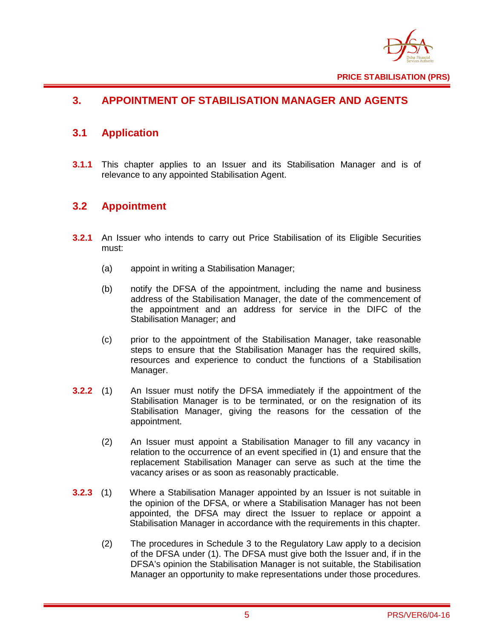

## <span id="page-6-0"></span>**3. APPOINTMENT OF STABILISATION MANAGER AND AGENTS**

## <span id="page-6-1"></span>**3.1 Application**

**3.1.1** This chapter applies to an Issuer and its Stabilisation Manager and is of relevance to any appointed Stabilisation Agent.

## <span id="page-6-2"></span>**3.2 Appointment**

- **3.2.1** An Issuer who intends to carry out Price Stabilisation of its Eligible Securities must:
	- (a) appoint in writing a Stabilisation Manager;
	- (b) notify the DFSA of the appointment, including the name and business address of the Stabilisation Manager, the date of the commencement of the appointment and an address for service in the DIFC of the Stabilisation Manager; and
	- (c) prior to the appointment of the Stabilisation Manager, take reasonable steps to ensure that the Stabilisation Manager has the required skills, resources and experience to conduct the functions of a Stabilisation Manager.
- **3.2.2** (1) An Issuer must notify the DFSA immediately if the appointment of the Stabilisation Manager is to be terminated, or on the resignation of its Stabilisation Manager, giving the reasons for the cessation of the appointment.
	- (2) An Issuer must appoint a Stabilisation Manager to fill any vacancy in relation to the occurrence of an event specified in (1) and ensure that the replacement Stabilisation Manager can serve as such at the time the vacancy arises or as soon as reasonably practicable.
- **3.2.3** (1) Where a Stabilisation Manager appointed by an Issuer is not suitable in the opinion of the DFSA, or where a Stabilisation Manager has not been appointed, the DFSA may direct the Issuer to replace or appoint a Stabilisation Manager in accordance with the requirements in this chapter.
	- (2) The procedures in Schedule 3 to the Regulatory Law apply to a decision of the DFSA under (1). The DFSA must give both the Issuer and, if in the DFSA's opinion the Stabilisation Manager is not suitable, the Stabilisation Manager an opportunity to make representations under those procedures.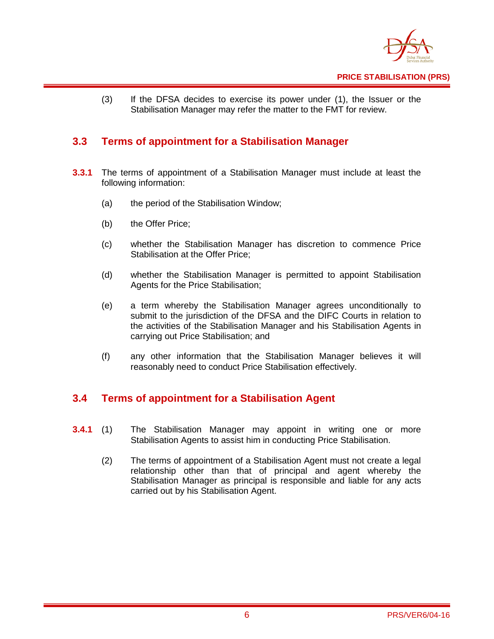

(3) If the DFSA decides to exercise its power under (1), the Issuer or the Stabilisation Manager may refer the matter to the FMT for review.

## <span id="page-7-0"></span>**3.3 Terms of appointment for a Stabilisation Manager**

- **3.3.1** The terms of appointment of a Stabilisation Manager must include at least the following information:
	- (a) the period of the Stabilisation Window;
	- (b) the Offer Price;
	- (c) whether the Stabilisation Manager has discretion to commence Price Stabilisation at the Offer Price;
	- (d) whether the Stabilisation Manager is permitted to appoint Stabilisation Agents for the Price Stabilisation;
	- (e) a term whereby the Stabilisation Manager agrees unconditionally to submit to the jurisdiction of the DFSA and the DIFC Courts in relation to the activities of the Stabilisation Manager and his Stabilisation Agents in carrying out Price Stabilisation; and
	- (f) any other information that the Stabilisation Manager believes it will reasonably need to conduct Price Stabilisation effectively.

### <span id="page-7-1"></span>**3.4 Terms of appointment for a Stabilisation Agent**

- **3.4.1** (1) The Stabilisation Manager may appoint in writing one or more Stabilisation Agents to assist him in conducting Price Stabilisation.
	- (2) The terms of appointment of a Stabilisation Agent must not create a legal relationship other than that of principal and agent whereby the Stabilisation Manager as principal is responsible and liable for any acts carried out by his Stabilisation Agent.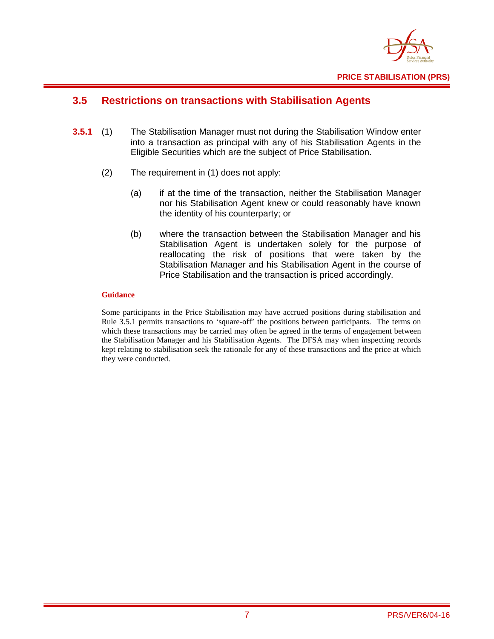

## <span id="page-8-0"></span>**3.5 Restrictions on transactions with Stabilisation Agents**

- **3.5.1** (1) The Stabilisation Manager must not during the Stabilisation Window enter into a transaction as principal with any of his Stabilisation Agents in the Eligible Securities which are the subject of Price Stabilisation.
	- (2) The requirement in (1) does not apply:
		- (a) if at the time of the transaction, neither the Stabilisation Manager nor his Stabilisation Agent knew or could reasonably have known the identity of his counterparty; or
		- (b) where the transaction between the Stabilisation Manager and his Stabilisation Agent is undertaken solely for the purpose of reallocating the risk of positions that were taken by the Stabilisation Manager and his Stabilisation Agent in the course of Price Stabilisation and the transaction is priced accordingly.

#### **Guidance**

Some participants in the Price Stabilisation may have accrued positions during stabilisation and Rule 3.5.1 permits transactions to 'square-off' the positions between participants. The terms on which these transactions may be carried may often be agreed in the terms of engagement between the Stabilisation Manager and his Stabilisation Agents. The DFSA may when inspecting records kept relating to stabilisation seek the rationale for any of these transactions and the price at which they were conducted.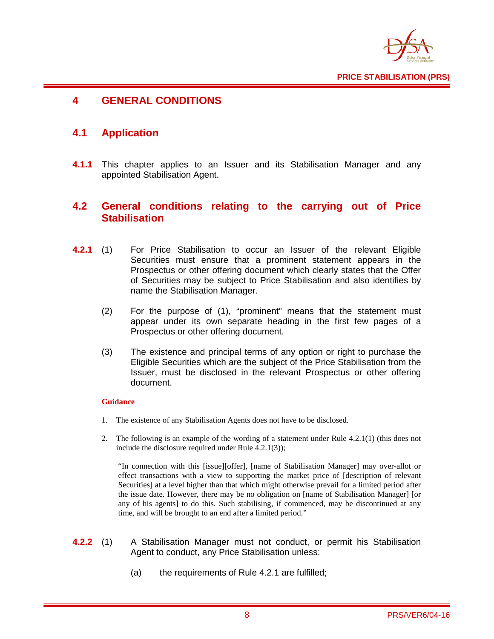

## <span id="page-9-0"></span>**4 GENERAL CONDITIONS**

## <span id="page-9-1"></span>**4.1 Application**

**4.1.1** This chapter applies to an Issuer and its Stabilisation Manager and any appointed Stabilisation Agent.

### <span id="page-9-2"></span>**4.2 General conditions relating to the carrying out of Price Stabilisation**

- **4.2.1** (1) For Price Stabilisation to occur an Issuer of the relevant Eligible Securities must ensure that a prominent statement appears in the Prospectus or other offering document which clearly states that the Offer of Securities may be subject to Price Stabilisation and also identifies by name the Stabilisation Manager.
	- (2) For the purpose of (1), "prominent" means that the statement must appear under its own separate heading in the first few pages of a Prospectus or other offering document.
	- (3) The existence and principal terms of any option or right to purchase the Eligible Securities which are the subject of the Price Stabilisation from the Issuer, must be disclosed in the relevant Prospectus or other offering document.

#### **Guidance**

- 1. The existence of any Stabilisation Agents does not have to be disclosed.
- 2. The following is an example of the wording of a statement under Rule 4.2.1(1) (this does not include the disclosure required under Rule 4.2.1(3));

"In connection with this [issue][offer], [name of Stabilisation Manager] may over-allot or effect transactions with a view to supporting the market price of [description of relevant Securities] at a level higher than that which might otherwise prevail for a limited period after the issue date. However, there may be no obligation on [name of Stabilisation Manager] [or any of his agents] to do this. Such stabilising, if commenced, may be discontinued at any time, and will be brought to an end after a limited period."

- **4.2.2** (1) A Stabilisation Manager must not conduct, or permit his Stabilisation Agent to conduct, any Price Stabilisation unless:
	- (a) the requirements of Rule 4.2.1 are fulfilled;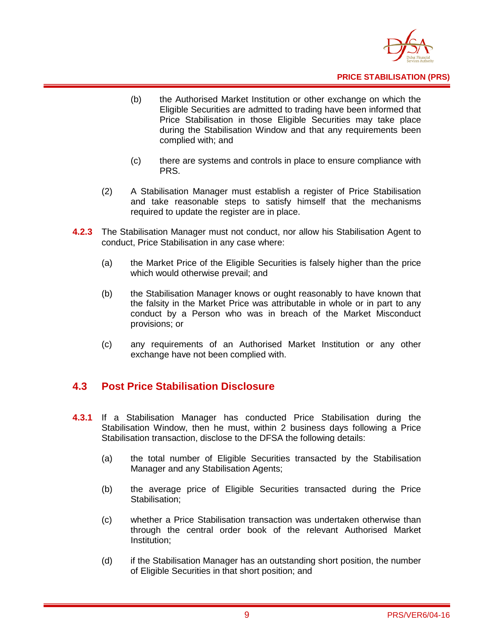

**PRICE STABILISATION (PRS)**

- (b) the Authorised Market Institution or other exchange on which the Eligible Securities are admitted to trading have been informed that Price Stabilisation in those Eligible Securities may take place during the Stabilisation Window and that any requirements been complied with; and
- (c) there are systems and controls in place to ensure compliance with PRS.
- (2) A Stabilisation Manager must establish a register of Price Stabilisation and take reasonable steps to satisfy himself that the mechanisms required to update the register are in place.
- **4.2.3** The Stabilisation Manager must not conduct, nor allow his Stabilisation Agent to conduct, Price Stabilisation in any case where:
	- (a) the Market Price of the Eligible Securities is falsely higher than the price which would otherwise prevail; and
	- (b) the Stabilisation Manager knows or ought reasonably to have known that the falsity in the Market Price was attributable in whole or in part to any conduct by a Person who was in breach of the Market Misconduct provisions; or
	- (c) any requirements of an Authorised Market Institution or any other exchange have not been complied with.

## <span id="page-10-0"></span>**4.3 Post Price Stabilisation Disclosure**

- **4.3.1** If a Stabilisation Manager has conducted Price Stabilisation during the Stabilisation Window, then he must, within 2 business days following a Price Stabilisation transaction, disclose to the DFSA the following details:
	- (a) the total number of Eligible Securities transacted by the Stabilisation Manager and any Stabilisation Agents;
	- (b) the average price of Eligible Securities transacted during the Price Stabilisation;
	- (c) whether a Price Stabilisation transaction was undertaken otherwise than through the central order book of the relevant Authorised Market Institution;
	- (d) if the Stabilisation Manager has an outstanding short position, the number of Eligible Securities in that short position; and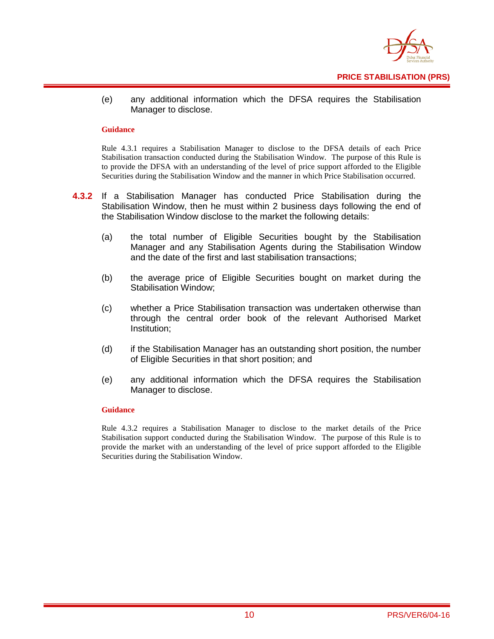

(e) any additional information which the DFSA requires the Stabilisation Manager to disclose.

#### **Guidance**

Rule 4.3.1 requires a Stabilisation Manager to disclose to the DFSA details of each Price Stabilisation transaction conducted during the Stabilisation Window. The purpose of this Rule is to provide the DFSA with an understanding of the level of price support afforded to the Eligible Securities during the Stabilisation Window and the manner in which Price Stabilisation occurred.

- **4.3.2** If a Stabilisation Manager has conducted Price Stabilisation during the Stabilisation Window, then he must within 2 business days following the end of the Stabilisation Window disclose to the market the following details:
	- (a) the total number of Eligible Securities bought by the Stabilisation Manager and any Stabilisation Agents during the Stabilisation Window and the date of the first and last stabilisation transactions;
	- (b) the average price of Eligible Securities bought on market during the Stabilisation Window;
	- (c) whether a Price Stabilisation transaction was undertaken otherwise than through the central order book of the relevant Authorised Market Institution;
	- (d) if the Stabilisation Manager has an outstanding short position, the number of Eligible Securities in that short position; and
	- (e) any additional information which the DFSA requires the Stabilisation Manager to disclose.

#### **Guidance**

Rule 4.3.2 requires a Stabilisation Manager to disclose to the market details of the Price Stabilisation support conducted during the Stabilisation Window. The purpose of this Rule is to provide the market with an understanding of the level of price support afforded to the Eligible Securities during the Stabilisation Window.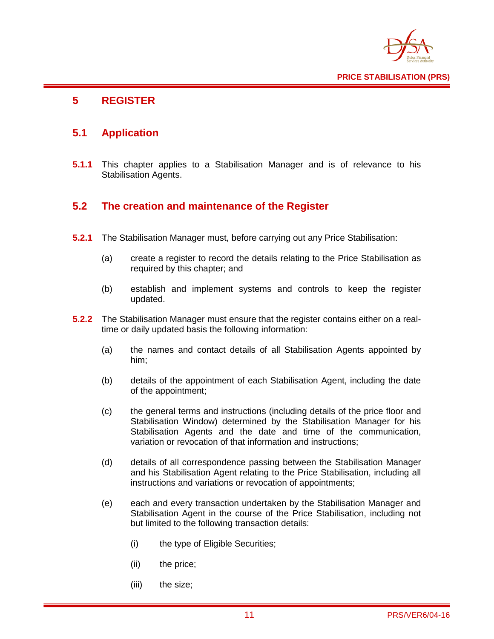

## <span id="page-12-0"></span>**5 REGISTER**

## <span id="page-12-1"></span>**5.1 Application**

**5.1.1** This chapter applies to a Stabilisation Manager and is of relevance to his Stabilisation Agents.

## <span id="page-12-2"></span>**5.2 The creation and maintenance of the Register**

- **5.2.1** The Stabilisation Manager must, before carrying out any Price Stabilisation:
	- (a) create a register to record the details relating to the Price Stabilisation as required by this chapter; and
	- (b) establish and implement systems and controls to keep the register updated.
- **5.2.2** The Stabilisation Manager must ensure that the register contains either on a realtime or daily updated basis the following information:
	- (a) the names and contact details of all Stabilisation Agents appointed by him;
	- (b) details of the appointment of each Stabilisation Agent, including the date of the appointment;
	- (c) the general terms and instructions (including details of the price floor and Stabilisation Window) determined by the Stabilisation Manager for his Stabilisation Agents and the date and time of the communication, variation or revocation of that information and instructions;
	- (d) details of all correspondence passing between the Stabilisation Manager and his Stabilisation Agent relating to the Price Stabilisation, including all instructions and variations or revocation of appointments;
	- (e) each and every transaction undertaken by the Stabilisation Manager and Stabilisation Agent in the course of the Price Stabilisation, including not but limited to the following transaction details:
		- (i) the type of Eligible Securities;
		- (ii) the price;
		- (iii) the size;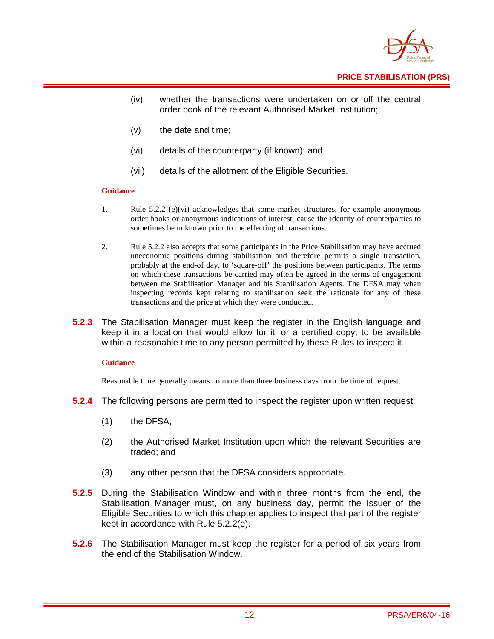

- (iv) whether the transactions were undertaken on or off the central order book of the relevant Authorised Market Institution;
- (v) the date and time;
- (vi) details of the counterparty (if known); and
- (vii) details of the allotment of the Eligible Securities.

#### **Guidance**

- 1. Rule 5.2.2 (e)(vi) acknowledges that some market structures, for example anonymous order books or anonymous indications of interest, cause the identity of counterparties to sometimes be unknown prior to the effecting of transactions.
- 2. Rule 5.2.2 also accepts that some participants in the Price Stabilisation may have accrued uneconomic positions during stabilisation and therefore permits a single transaction, probably at the end-of day, to 'square-off' the positions between participants. The terms on which these transactions be carried may often be agreed in the terms of engagement between the Stabilisation Manager and his Stabilisation Agents. The DFSA may when inspecting records kept relating to stabilisation seek the rationale for any of these transactions and the price at which they were conducted.
- **5.2.3** The Stabilisation Manager must keep the register in the English language and keep it in a location that would allow for it, or a certified copy, to be available within a reasonable time to any person permitted by these Rules to inspect it.

#### **Guidance**

Reasonable time generally means no more than three business days from the time of request.

- **5.2.4** The following persons are permitted to inspect the register upon written request:
	- (1) the DFSA;
	- (2) the Authorised Market Institution upon which the relevant Securities are traded; and
	- (3) any other person that the DFSA considers appropriate.
- **5.2.5** During the Stabilisation Window and within three months from the end, the Stabilisation Manager must, on any business day, permit the Issuer of the Eligible Securities to which this chapter applies to inspect that part of the register kept in accordance with Rule 5.2.2(e).
- **5.2.6** The Stabilisation Manager must keep the register for a period of six years from the end of the Stabilisation Window.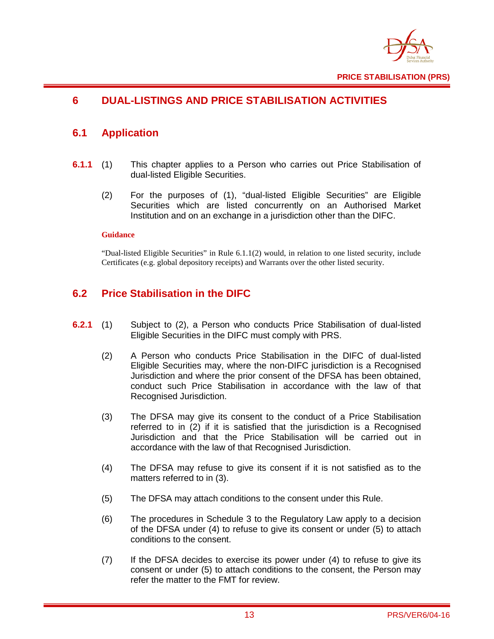

## <span id="page-14-0"></span>**6 DUAL-LISTINGS AND PRICE STABILISATION ACTIVITIES**

## <span id="page-14-1"></span>**6.1 Application**

- **6.1.1** (1) This chapter applies to a Person who carries out Price Stabilisation of dual-listed Eligible Securities.
	- (2) For the purposes of (1), "dual-listed Eligible Securities" are Eligible Securities which are listed concurrently on an Authorised Market Institution and on an exchange in a jurisdiction other than the DIFC.

#### **Guidance**

"Dual-listed Eligible Securities" in Rule 6.1.1(2) would, in relation to one listed security, include Certificates (e.g. global depository receipts) and Warrants over the other listed security.

## <span id="page-14-2"></span>**6.2 Price Stabilisation in the DIFC**

- **6.2.1** (1) Subject to (2), a Person who conducts Price Stabilisation of dual-listed Eligible Securities in the DIFC must comply with PRS.
	- (2) A Person who conducts Price Stabilisation in the DIFC of dual-listed Eligible Securities may, where the non-DIFC jurisdiction is a Recognised Jurisdiction and where the prior consent of the DFSA has been obtained, conduct such Price Stabilisation in accordance with the law of that Recognised Jurisdiction.
	- (3) The DFSA may give its consent to the conduct of a Price Stabilisation referred to in (2) if it is satisfied that the jurisdiction is a Recognised Jurisdiction and that the Price Stabilisation will be carried out in accordance with the law of that Recognised Jurisdiction.
	- (4) The DFSA may refuse to give its consent if it is not satisfied as to the matters referred to in (3).
	- (5) The DFSA may attach conditions to the consent under this Rule.
	- (6) The procedures in Schedule 3 to the Regulatory Law apply to a decision of the DFSA under (4) to refuse to give its consent or under (5) to attach conditions to the consent.
	- (7) If the DFSA decides to exercise its power under (4) to refuse to give its consent or under (5) to attach conditions to the consent, the Person may refer the matter to the FMT for review.